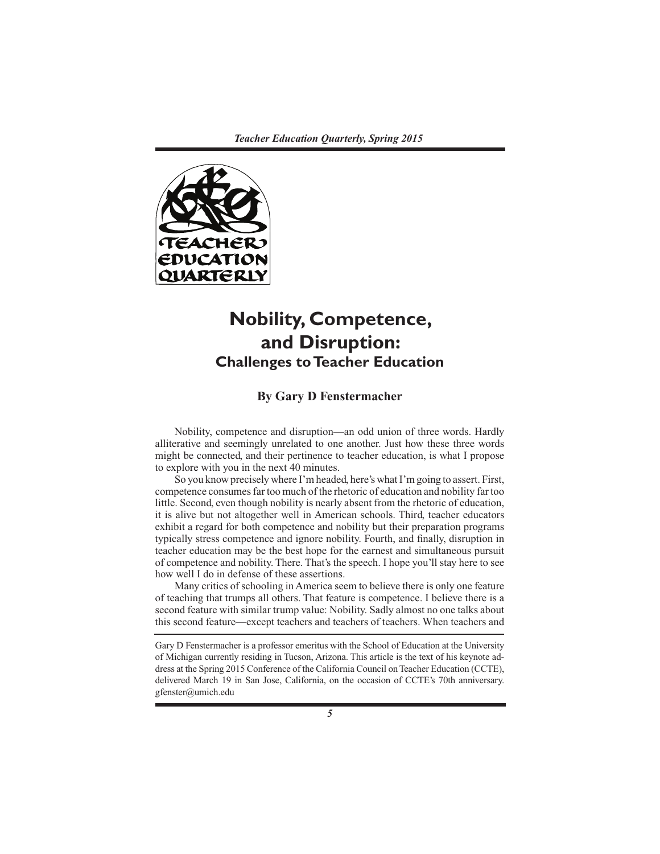

# **Nobility, Competence, and Disruption: Challenges to Teacher Education**

# **By Gary D Fenstermacher**

Nobility, competence and disruption—an odd union of three words. Hardly alliterative and seemingly unrelated to one another. Just how these three words might be connected, and their pertinence to teacher education, is what I propose to explore with you in the next 40 minutes.

So you know precisely where I'm headed, here's what I'm going to assert. First, competence consumes far too much of the rhetoric of education and nobility far too little. Second, even though nobility is nearly absent from the rhetoric of education, it is alive but not altogether well in American schools. Third, teacher educators exhibit a regard for both competence and nobility but their preparation programs typically stress competence and ignore nobility. Fourth, and finally, disruption in teacher education may be the best hope for the earnest and simultaneous pursuit of competence and nobility. There. That's the speech. I hope you'll stay here to see how well I do in defense of these assertions.

Many critics of schooling in America seem to believe there is only one feature of teaching that trumps all others. That feature is competence. I believe there is a second feature with similar trump value: Nobility. Sadly almost no one talks about this second feature—except teachers and teachers of teachers. When teachers and

Gary D Fenstermacher is a professor emeritus with the School of Education at the University of Michigan currently residing in Tucson, Arizona. This article is the text of his keynote address at the Spring 2015 Conference of the California Council on Teacher Education (CCTE), delivered March 19 in San Jose, California, on the occasion of CCTE's 70th anniversary. gfenster@umich.edu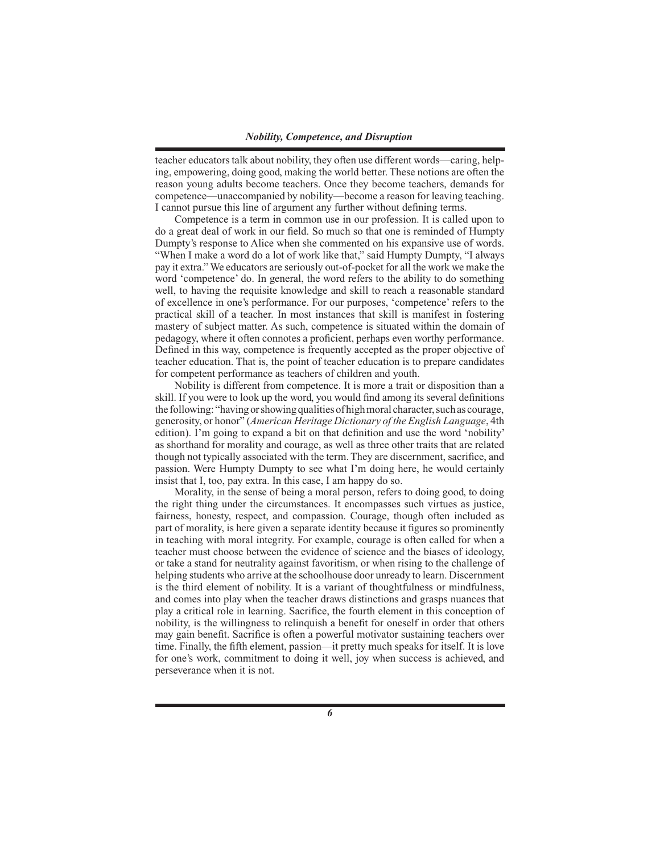teacher educators talk about nobility, they often use different words—caring, helping, empowering, doing good, making the world better. These notions are often the reason young adults become teachers. Once they become teachers, demands for competence—unaccompanied by nobility—become a reason for leaving teaching. I cannot pursue this line of argument any further without defining terms.

Competence is a term in common use in our profession. It is called upon to do a great deal of work in our field. So much so that one is reminded of Humpty Dumpty's response to Alice when she commented on his expansive use of words. "When I make a word do a lot of work like that," said Humpty Dumpty, "I always pay it extra." We educators are seriously out-of-pocket for all the work we make the word 'competence' do. In general, the word refers to the ability to do something well, to having the requisite knowledge and skill to reach a reasonable standard of excellence in one's performance. For our purposes, 'competence' refers to the practical skill of a teacher. In most instances that skill is manifest in fostering mastery of subject matter. As such, competence is situated within the domain of pedagogy, where it often connotes a proficient, perhaps even worthy performance. Defined in this way, competence is frequently accepted as the proper objective of teacher education. That is, the point of teacher education is to prepare candidates for competent performance as teachers of children and youth.

Nobility is different from competence. It is more a trait or disposition than a skill. If you were to look up the word, you would find among its several definitions the following: "having or showing qualities of high moral character, such as courage, generosity, or honor" (*American Heritage Dictionary of the English Language*, 4th edition). I'm going to expand a bit on that definition and use the word 'nobility' as shorthand for morality and courage, as well as three other traits that are related though not typically associated with the term. They are discernment, sacrifice, and passion. Were Humpty Dumpty to see what I'm doing here, he would certainly insist that I, too, pay extra. In this case, I am happy do so.

Morality, in the sense of being a moral person, refers to doing good, to doing the right thing under the circumstances. It encompasses such virtues as justice, fairness, honesty, respect, and compassion. Courage, though often included as part of morality, is here given a separate identity because it figures so prominently in teaching with moral integrity. For example, courage is often called for when a teacher must choose between the evidence of science and the biases of ideology, or take a stand for neutrality against favoritism, or when rising to the challenge of helping students who arrive at the schoolhouse door unready to learn. Discernment is the third element of nobility. It is a variant of thoughtfulness or mindfulness, and comes into play when the teacher draws distinctions and grasps nuances that play a critical role in learning. Sacrifice, the fourth element in this conception of nobility, is the willingness to relinquish a benefit for oneself in order that others may gain benefit. Sacrifice is often a powerful motivator sustaining teachers over time. Finally, the fifth element, passion—it pretty much speaks for itself. It is love for one's work, commitment to doing it well, joy when success is achieved, and perseverance when it is not.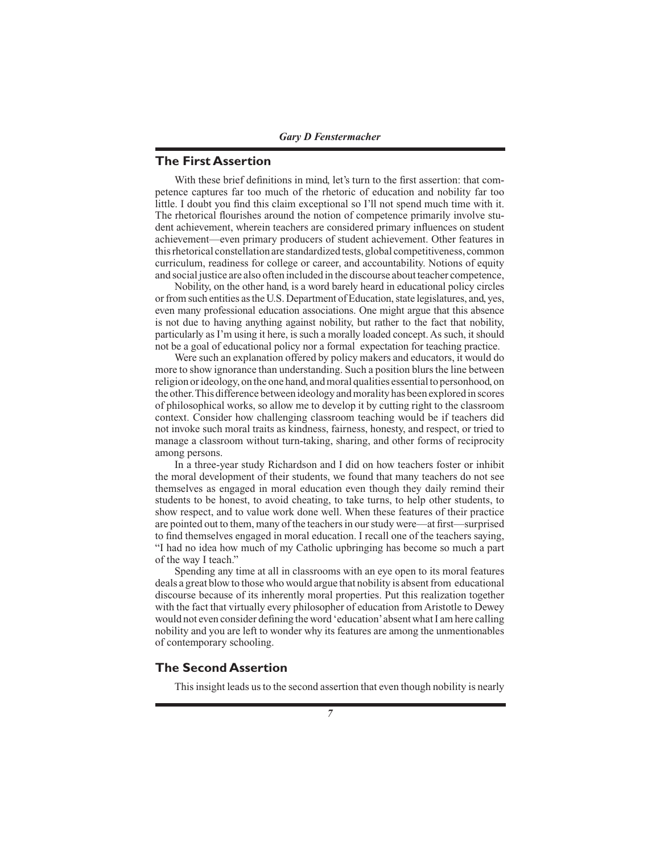*Gary D Fenstermacher*

### **The First Assertion**

With these brief definitions in mind, let's turn to the first assertion: that competence captures far too much of the rhetoric of education and nobility far too little. I doubt you find this claim exceptional so I'll not spend much time with it. The rhetorical flourishes around the notion of competence primarily involve student achievement, wherein teachers are considered primary influences on student achievement—even primary producers of student achievement. Other features in this rhetorical constellation are standardized tests, global competitiveness, common curriculum, readiness for college or career, and accountability. Notions of equity and social justice are also often included in the discourse about teacher competence,

Nobility, on the other hand, is a word barely heard in educational policy circles or from such entities as the U.S. Department of Education, state legislatures, and, yes, even many professional education associations. One might argue that this absence is not due to having anything against nobility, but rather to the fact that nobility, particularly as I'm using it here, is such a morally loaded concept. As such, it should not be a goal of educational policy nor a formal expectation for teaching practice.

Were such an explanation offered by policy makers and educators, it would do more to show ignorance than understanding. Such a position blurs the line between religion or ideology, on the one hand, and moral qualities essential to personhood, on the other. This difference between ideology and morality has been explored in scores of philosophical works, so allow me to develop it by cutting right to the classroom context. Consider how challenging classroom teaching would be if teachers did not invoke such moral traits as kindness, fairness, honesty, and respect, or tried to manage a classroom without turn-taking, sharing, and other forms of reciprocity among persons.

In a three-year study Richardson and I did on how teachers foster or inhibit the moral development of their students, we found that many teachers do not see themselves as engaged in moral education even though they daily remind their students to be honest, to avoid cheating, to take turns, to help other students, to show respect, and to value work done well. When these features of their practice are pointed out to them, many of the teachers in our study were—at first—surprised to find themselves engaged in moral education. I recall one of the teachers saying, "I had no idea how much of my Catholic upbringing has become so much a part of the way I teach."

Spending any time at all in classrooms with an eye open to its moral features deals a great blow to those who would argue that nobility is absent from educational discourse because of its inherently moral properties. Put this realization together with the fact that virtually every philosopher of education from Aristotle to Dewey would not even consider defining the word 'education' absent what I am here calling nobility and you are left to wonder why its features are among the unmentionables of contemporary schooling.

#### **The Second Assertion**

This insight leads us to the second assertion that even though nobility is nearly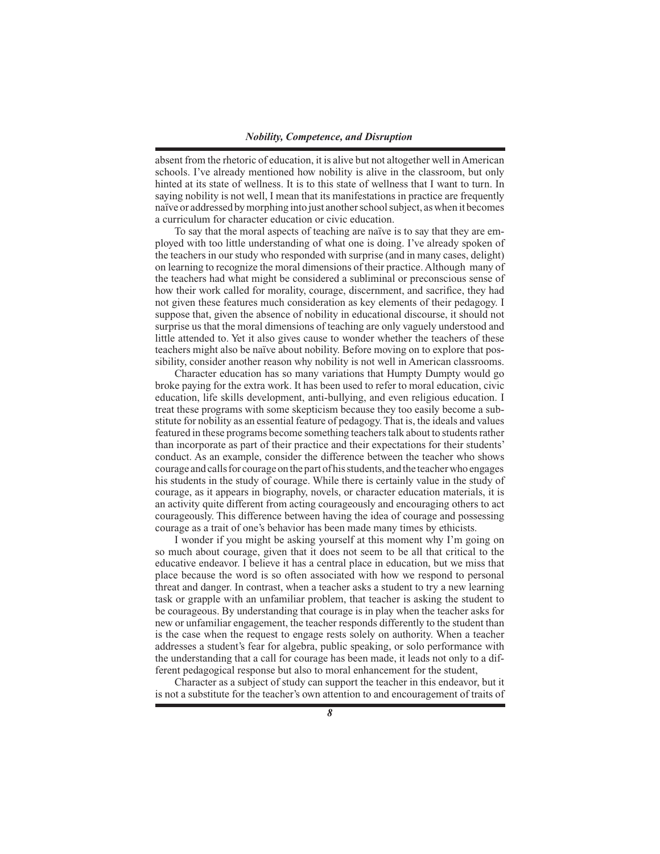absent from the rhetoric of education, it is alive but not altogether well in American schools. I've already mentioned how nobility is alive in the classroom, but only hinted at its state of wellness. It is to this state of wellness that I want to turn. In saying nobility is not well, I mean that its manifestations in practice are frequently naïve or addressed by morphing into just another school subject, as when it becomes a curriculum for character education or civic education.

To say that the moral aspects of teaching are naïve is to say that they are employed with too little understanding of what one is doing. I've already spoken of the teachers in our study who responded with surprise (and in many cases, delight) on learning to recognize the moral dimensions of their practice. Although many of the teachers had what might be considered a subliminal or preconscious sense of how their work called for morality, courage, discernment, and sacrifice, they had not given these features much consideration as key elements of their pedagogy. I suppose that, given the absence of nobility in educational discourse, it should not surprise us that the moral dimensions of teaching are only vaguely understood and little attended to. Yet it also gives cause to wonder whether the teachers of these teachers might also be naïve about nobility. Before moving on to explore that possibility, consider another reason why nobility is not well in American classrooms.

Character education has so many variations that Humpty Dumpty would go broke paying for the extra work. It has been used to refer to moral education, civic education, life skills development, anti-bullying, and even religious education. I treat these programs with some skepticism because they too easily become a substitute for nobility as an essential feature of pedagogy. That is, the ideals and values featured in these programs become something teachers talk about to students rather than incorporate as part of their practice and their expectations for their students' conduct. As an example, consider the difference between the teacher who shows courage and calls for courage on the part of his students, and the teacher who engages his students in the study of courage. While there is certainly value in the study of courage, as it appears in biography, novels, or character education materials, it is an activity quite different from acting courageously and encouraging others to act courageously. This difference between having the idea of courage and possessing courage as a trait of one's behavior has been made many times by ethicists.

I wonder if you might be asking yourself at this moment why I'm going on so much about courage, given that it does not seem to be all that critical to the educative endeavor. I believe it has a central place in education, but we miss that place because the word is so often associated with how we respond to personal threat and danger. In contrast, when a teacher asks a student to try a new learning task or grapple with an unfamiliar problem, that teacher is asking the student to be courageous. By understanding that courage is in play when the teacher asks for new or unfamiliar engagement, the teacher responds differently to the student than is the case when the request to engage rests solely on authority. When a teacher addresses a student's fear for algebra, public speaking, or solo performance with the understanding that a call for courage has been made, it leads not only to a different pedagogical response but also to moral enhancement for the student,

Character as a subject of study can support the teacher in this endeavor, but it is not a substitute for the teacher's own attention to and encouragement of traits of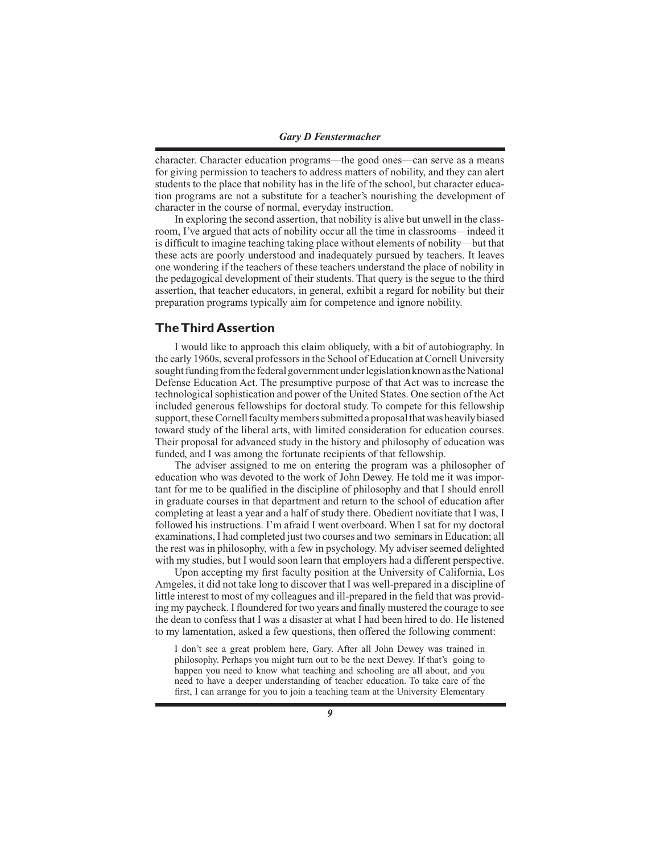character. Character education programs—the good ones—can serve as a means for giving permission to teachers to address matters of nobility, and they can alert students to the place that nobility has in the life of the school, but character education programs are not a substitute for a teacher's nourishing the development of character in the course of normal, everyday instruction.

In exploring the second assertion, that nobility is alive but unwell in the classroom, I've argued that acts of nobility occur all the time in classrooms—indeed it is difficult to imagine teaching taking place without elements of nobility—but that these acts are poorly understood and inadequately pursued by teachers. It leaves one wondering if the teachers of these teachers understand the place of nobility in the pedagogical development of their students. That query is the segue to the third assertion, that teacher educators, in general, exhibit a regard for nobility but their preparation programs typically aim for competence and ignore nobility.

#### **The Third Assertion**

I would like to approach this claim obliquely, with a bit of autobiography. In the early 1960s, several professors in the School of Education at Cornell University sought funding from the federal government under legislation known as the National Defense Education Act. The presumptive purpose of that Act was to increase the technological sophistication and power of the United States. One section of the Act included generous fellowships for doctoral study. To compete for this fellowship support, these Cornell faculty members submitted a proposal that was heavily biased toward study of the liberal arts, with limited consideration for education courses. Their proposal for advanced study in the history and philosophy of education was funded, and I was among the fortunate recipients of that fellowship.

The adviser assigned to me on entering the program was a philosopher of education who was devoted to the work of John Dewey. He told me it was important for me to be qualified in the discipline of philosophy and that I should enroll in graduate courses in that department and return to the school of education after completing at least a year and a half of study there. Obedient novitiate that I was, I followed his instructions. I'm afraid I went overboard. When I sat for my doctoral examinations, I had completed just two courses and two seminars in Education; all the rest was in philosophy, with a few in psychology. My adviser seemed delighted with my studies, but I would soon learn that employers had a different perspective.

Upon accepting my first faculty position at the University of California, Los Amgeles, it did not take long to discover that I was well-prepared in a discipline of little interest to most of my colleagues and ill-prepared in the field that was providing my paycheck. I floundered for two years and finally mustered the courage to see the dean to confess that I was a disaster at what I had been hired to do. He listened to my lamentation, asked a few questions, then offered the following comment:

I don't see a great problem here, Gary. After all John Dewey was trained in philosophy. Perhaps you might turn out to be the next Dewey. If that's going to happen you need to know what teaching and schooling are all about, and you need to have a deeper understanding of teacher education. To take care of the first, I can arrange for you to join a teaching team at the University Elementary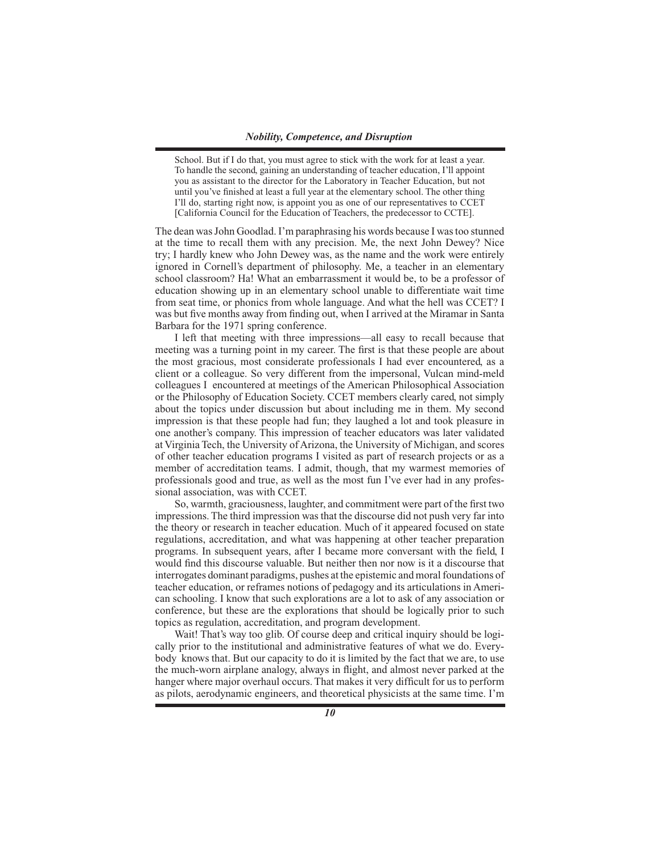School. But if I do that, you must agree to stick with the work for at least a year. To handle the second, gaining an understanding of teacher education, I'll appoint you as assistant to the director for the Laboratory in Teacher Education, but not until you've finished at least a full year at the elementary school. The other thing I'll do, starting right now, is appoint you as one of our representatives to CCET [California Council for the Education of Teachers, the predecessor to CCTE].

The dean was John Goodlad. I'm paraphrasing his words because I was too stunned at the time to recall them with any precision. Me, the next John Dewey? Nice try; I hardly knew who John Dewey was, as the name and the work were entirely ignored in Cornell's department of philosophy. Me, a teacher in an elementary school classroom? Ha! What an embarrassment it would be, to be a professor of education showing up in an elementary school unable to differentiate wait time from seat time, or phonics from whole language. And what the hell was CCET? I was but five months away from finding out, when I arrived at the Miramar in Santa Barbara for the 1971 spring conference.

I left that meeting with three impressions—all easy to recall because that meeting was a turning point in my career. The first is that these people are about the most gracious, most considerate professionals I had ever encountered, as a client or a colleague. So very different from the impersonal, Vulcan mind-meld colleagues I encountered at meetings of the American Philosophical Association or the Philosophy of Education Society. CCET members clearly cared, not simply about the topics under discussion but about including me in them. My second impression is that these people had fun; they laughed a lot and took pleasure in one another's company. This impression of teacher educators was later validated at Virginia Tech, the University of Arizona, the University of Michigan, and scores of other teacher education programs I visited as part of research projects or as a member of accreditation teams. I admit, though, that my warmest memories of professionals good and true, as well as the most fun I've ever had in any professional association, was with CCET.

So, warmth, graciousness, laughter, and commitment were part of the first two impressions. The third impression was that the discourse did not push very far into the theory or research in teacher education. Much of it appeared focused on state regulations, accreditation, and what was happening at other teacher preparation programs. In subsequent years, after I became more conversant with the field, I would find this discourse valuable. But neither then nor now is it a discourse that interrogates dominant paradigms, pushes at the epistemic and moral foundations of teacher education, or reframes notions of pedagogy and its articulations in American schooling. I know that such explorations are a lot to ask of any association or conference, but these are the explorations that should be logically prior to such topics as regulation, accreditation, and program development.

Wait! That's way too glib. Of course deep and critical inquiry should be logically prior to the institutional and administrative features of what we do. Everybody knows that. But our capacity to do it is limited by the fact that we are, to use the much-worn airplane analogy, always in flight, and almost never parked at the hanger where major overhaul occurs. That makes it very difficult for us to perform as pilots, aerodynamic engineers, and theoretical physicists at the same time. I'm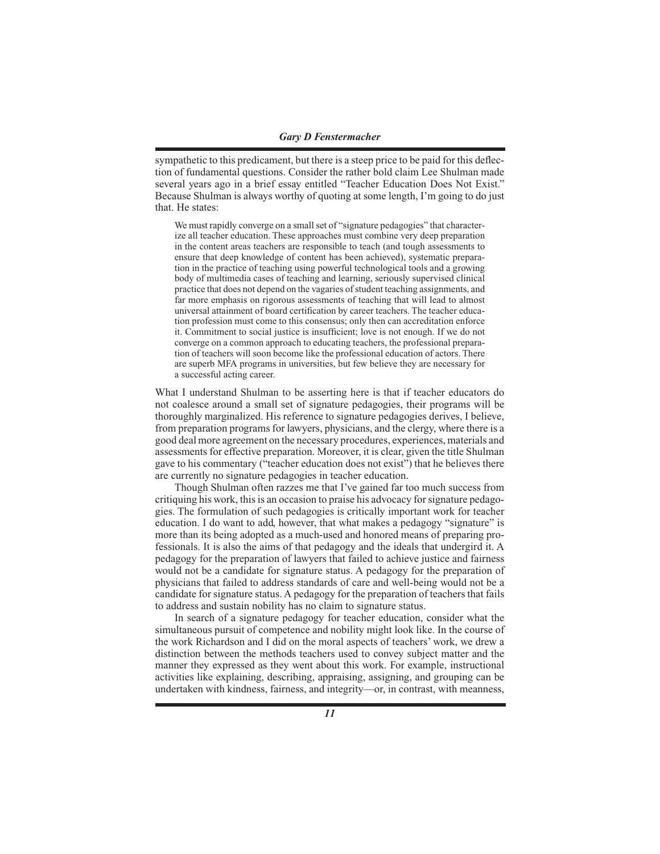sympathetic to this predicament, but there is a steep price to be paid for this deflection of fundamental questions. Consider the rather bold claim Lee Shulman made several years ago in a brief essay entitled "Teacher Education Does Not Exist." Because Shulman is always worthy of quoting at some length, I'm going to do just that. He states:

We must rapidly converge on a small set of "signature pedagogies" that characterize all teacher education. These approaches must combine very deep preparation in the content areas teachers are responsible to teach (and tough assessments to ensure that deep knowledge of content has been achieved), systematic preparation in the practice of teaching using powerful technological tools and a growing body of multimedia cases of teaching and learning, seriously supervised clinical practice that does not depend on the vagaries of student teaching assignments, and far more emphasis on rigorous assessments of teaching that will lead to almost universal attainment of board certification by career teachers. The teacher education profession must come to this consensus; only then can accreditation enforce it. Commitment to social justice is insufficient; love is not enough. If we do not converge on a common approach to educating teachers, the professional preparation of teachers will soon become like the professional education of actors. There are superb MFA programs in universities, but few believe they are necessary for a successful acting career.

What I understand Shulman to be asserting here is that if teacher educators do not coalesce around a small set of signature pedagogies, their programs will be thoroughly marginalized. His reference to signature pedagogies derives, I believe, from preparation programs for lawyers, physicians, and the clergy, where there is a good deal more agreement on the necessary procedures, experiences, materials and assessments for effective preparation. Moreover, it is clear, given the title Shulman gave to his commentary ("teacher education does not exist") that he believes there are currently no signature pedagogies in teacher education.

Though Shulman often razzes me that I've gained far too much success from critiquing his work, this is an occasion to praise his advocacy for signature pedagogies. The formulation of such pedagogies is critically important work for teacher education. I do want to add, however, that what makes a pedagogy "signature" is more than its being adopted as a much-used and honored means of preparing professionals. It is also the aims of that pedagogy and the ideals that undergird it. A pedagogy for the preparation of lawyers that failed to achieve justice and fairness would not be a candidate for signature status. A pedagogy for the preparation of physicians that failed to address standards of care and well-being would not be a candidate for signature status. A pedagogy for the preparation of teachers that fails to address and sustain nobility has no claim to signature status.

In search of a signature pedagogy for teacher education, consider what the simultaneous pursuit of competence and nobility might look like. In the course of the work Richardson and I did on the moral aspects of teachers' work, we drew a distinction between the methods teachers used to convey subject matter and the manner they expressed as they went about this work. For example, instructional activities like explaining, describing, appraising, assigning, and grouping can be undertaken with kindness, fairness, and integrity—or, in contrast, with meanness,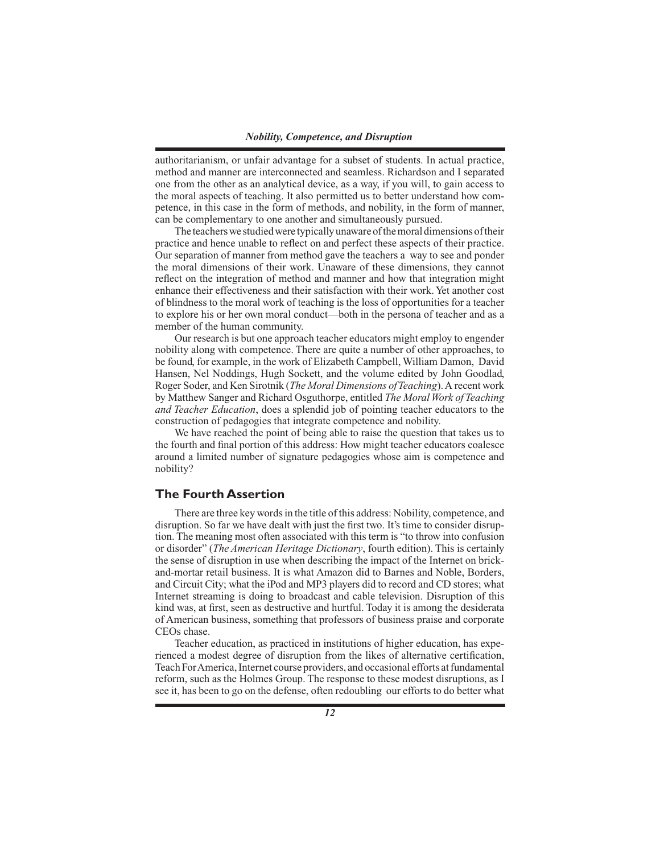authoritarianism, or unfair advantage for a subset of students. In actual practice, method and manner are interconnected and seamless. Richardson and I separated one from the other as an analytical device, as a way, if you will, to gain access to the moral aspects of teaching. It also permitted us to better understand how competence, in this case in the form of methods, and nobility, in the form of manner, can be complementary to one another and simultaneously pursued.

The teachers we studied were typically unaware of the moral dimensions of their practice and hence unable to reflect on and perfect these aspects of their practice. Our separation of manner from method gave the teachers a way to see and ponder the moral dimensions of their work. Unaware of these dimensions, they cannot reflect on the integration of method and manner and how that integration might enhance their effectiveness and their satisfaction with their work. Yet another cost of blindness to the moral work of teaching is the loss of opportunities for a teacher to explore his or her own moral conduct—both in the persona of teacher and as a member of the human community.

Our research is but one approach teacher educators might employ to engender nobility along with competence. There are quite a number of other approaches, to be found, for example, in the work of Elizabeth Campbell, William Damon, David Hansen, Nel Noddings, Hugh Sockett, and the volume edited by John Goodlad, Roger Soder, and Ken Sirotnik (*The Moral Dimensions of Teaching*). A recent work by Matthew Sanger and Richard Osguthorpe, entitled *The Moral Work of Teaching and Teacher Education*, does a splendid job of pointing teacher educators to the construction of pedagogies that integrate competence and nobility.

We have reached the point of being able to raise the question that takes us to the fourth and final portion of this address: How might teacher educators coalesce around a limited number of signature pedagogies whose aim is competence and nobility?

# **The Fourth Assertion**

There are three key words in the title of this address: Nobility, competence, and disruption. So far we have dealt with just the first two. It's time to consider disruption. The meaning most often associated with this term is "to throw into confusion or disorder" (*The American Heritage Dictionary*, fourth edition). This is certainly the sense of disruption in use when describing the impact of the Internet on brickand-mortar retail business. It is what Amazon did to Barnes and Noble, Borders, and Circuit City; what the iPod and MP3 players did to record and CD stores; what Internet streaming is doing to broadcast and cable television. Disruption of this kind was, at first, seen as destructive and hurtful. Today it is among the desiderata of American business, something that professors of business praise and corporate CEOs chase.

Teacher education, as practiced in institutions of higher education, has experienced a modest degree of disruption from the likes of alternative certification, Teach For America, Internet course providers, and occasional efforts at fundamental reform, such as the Holmes Group. The response to these modest disruptions, as I see it, has been to go on the defense, often redoubling our efforts to do better what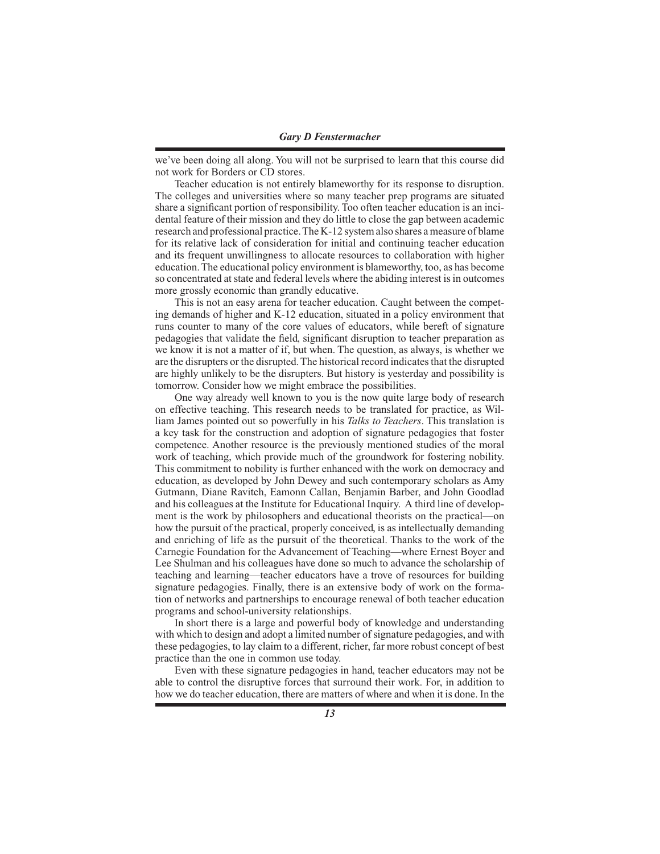we've been doing all along. You will not be surprised to learn that this course did not work for Borders or CD stores.

Teacher education is not entirely blameworthy for its response to disruption. The colleges and universities where so many teacher prep programs are situated share a significant portion of responsibility. Too often teacher education is an incidental feature of their mission and they do little to close the gap between academic research and professional practice. The K-12 system also shares a measure of blame for its relative lack of consideration for initial and continuing teacher education and its frequent unwillingness to allocate resources to collaboration with higher education. The educational policy environment is blameworthy, too, as has become so concentrated at state and federal levels where the abiding interest is in outcomes more grossly economic than grandly educative.

This is not an easy arena for teacher education. Caught between the competing demands of higher and K-12 education, situated in a policy environment that runs counter to many of the core values of educators, while bereft of signature pedagogies that validate the field, significant disruption to teacher preparation as we know it is not a matter of if, but when. The question, as always, is whether we are the disrupters or the disrupted. The historical record indicates that the disrupted are highly unlikely to be the disrupters. But history is yesterday and possibility is tomorrow. Consider how we might embrace the possibilities.

One way already well known to you is the now quite large body of research on effective teaching. This research needs to be translated for practice, as William James pointed out so powerfully in his *Talks to Teachers*. This translation is a key task for the construction and adoption of signature pedagogies that foster competence. Another resource is the previously mentioned studies of the moral work of teaching, which provide much of the groundwork for fostering nobility. This commitment to nobility is further enhanced with the work on democracy and education, as developed by John Dewey and such contemporary scholars as Amy Gutmann, Diane Ravitch, Eamonn Callan, Benjamin Barber, and John Goodlad and his colleagues at the Institute for Educational Inquiry. A third line of development is the work by philosophers and educational theorists on the practical—on how the pursuit of the practical, properly conceived, is as intellectually demanding and enriching of life as the pursuit of the theoretical. Thanks to the work of the Carnegie Foundation for the Advancement of Teaching—where Ernest Boyer and Lee Shulman and his colleagues have done so much to advance the scholarship of teaching and learning—teacher educators have a trove of resources for building signature pedagogies. Finally, there is an extensive body of work on the formation of networks and partnerships to encourage renewal of both teacher education programs and school-university relationships.

In short there is a large and powerful body of knowledge and understanding with which to design and adopt a limited number of signature pedagogies, and with these pedagogies, to lay claim to a different, richer, far more robust concept of best practice than the one in common use today.

Even with these signature pedagogies in hand, teacher educators may not be able to control the disruptive forces that surround their work. For, in addition to how we do teacher education, there are matters of where and when it is done. In the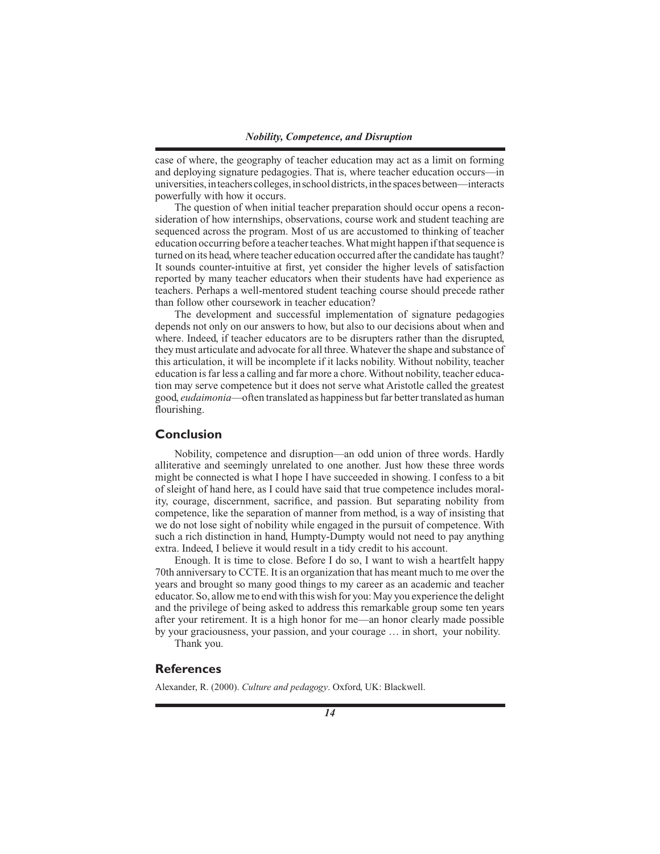case of where, the geography of teacher education may act as a limit on forming and deploying signature pedagogies. That is, where teacher education occurs—in universities, in teachers colleges, in school districts, in the spaces between—interacts powerfully with how it occurs.

The question of when initial teacher preparation should occur opens a reconsideration of how internships, observations, course work and student teaching are sequenced across the program. Most of us are accustomed to thinking of teacher education occurring before a teacher teaches. What might happen if that sequence is turned on its head, where teacher education occurred after the candidate has taught? It sounds counter-intuitive at first, yet consider the higher levels of satisfaction reported by many teacher educators when their students have had experience as teachers. Perhaps a well-mentored student teaching course should precede rather than follow other coursework in teacher education?

The development and successful implementation of signature pedagogies depends not only on our answers to how, but also to our decisions about when and where. Indeed, if teacher educators are to be disrupters rather than the disrupted, they must articulate and advocate for all three. Whatever the shape and substance of this articulation, it will be incomplete if it lacks nobility. Without nobility, teacher education is far less a calling and far more a chore. Without nobility, teacher education may serve competence but it does not serve what Aristotle called the greatest good, *eudaimonia*—often translated as happiness but far better translated as human flourishing.

#### **Conclusion**

Nobility, competence and disruption—an odd union of three words. Hardly alliterative and seemingly unrelated to one another. Just how these three words might be connected is what I hope I have succeeded in showing. I confess to a bit of sleight of hand here, as I could have said that true competence includes morality, courage, discernment, sacrifice, and passion. But separating nobility from competence, like the separation of manner from method, is a way of insisting that we do not lose sight of nobility while engaged in the pursuit of competence. With such a rich distinction in hand, Humpty-Dumpty would not need to pay anything extra. Indeed, I believe it would result in a tidy credit to his account.

Enough. It is time to close. Before I do so, I want to wish a heartfelt happy 70th anniversary to CCTE. It is an organization that has meant much to me over the years and brought so many good things to my career as an academic and teacher educator. So, allow me to end with this wish for you: May you experience the delight and the privilege of being asked to address this remarkable group some ten years after your retirement. It is a high honor for me—an honor clearly made possible by your graciousness, your passion, and your courage … in short, your nobility. Thank you.

# **References**

Alexander, R. (2000). *Culture and pedagogy*. Oxford, UK: Blackwell.